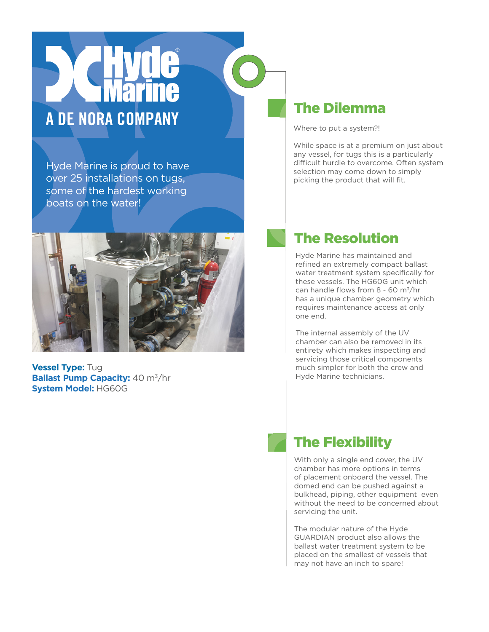## A DE NORA COMPANY

Hyde Marine is proud to have over 25 installations on tugs, some of the hardest working boats on the water!



**Vessel Type:** Tug **Ballast Pump Capacity: 40 m<sup>3</sup>/hr System Model:** HG60G

## The Dilemma

Where to put a system?!

While space is at a premium on just about any vessel, for tugs this is a particularly difficult hurdle to overcome. Often system selection may come down to simply picking the product that will fit.

## The Resolution

Hyde Marine has maintained and refined an extremely compact ballast water treatment system specifically for these vessels. The HG60G unit which can handle flows from 8 - 60 m3/hr has a unique chamber geometry which requires maintenance access at only one end.

The internal assembly of the UV chamber can also be removed in its entirety which makes inspecting and servicing those critical components much simpler for both the crew and Hyde Marine technicians.

## The Flexibility

With only a single end cover, the UV chamber has more options in terms of placement onboard the vessel. The domed end can be pushed against a bulkhead, piping, other equipment even without the need to be concerned about servicing the unit.

The modular nature of the Hyde GUARDIAN product also allows the ballast water treatment system to be placed on the smallest of vessels that may not have an inch to spare!